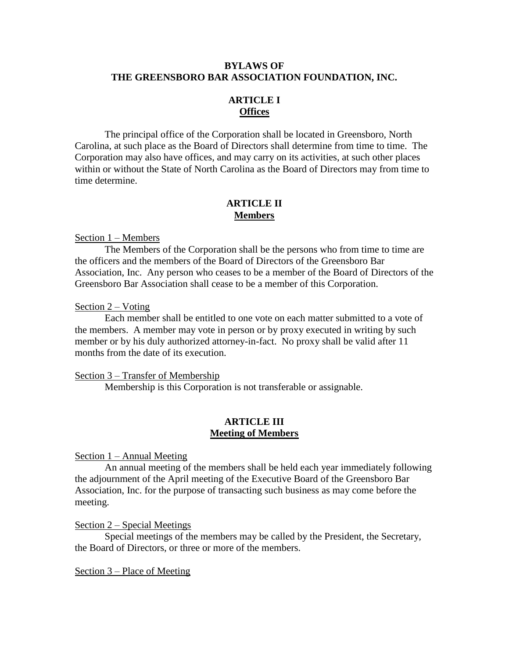# **BYLAWS OF THE GREENSBORO BAR ASSOCIATION FOUNDATION, INC.**

# **ARTICLE I Offices**

The principal office of the Corporation shall be located in Greensboro, North Carolina, at such place as the Board of Directors shall determine from time to time. The Corporation may also have offices, and may carry on its activities, at such other places within or without the State of North Carolina as the Board of Directors may from time to time determine.

## **ARTICLE II Members**

### Section 1 – Members

The Members of the Corporation shall be the persons who from time to time are the officers and the members of the Board of Directors of the Greensboro Bar Association, Inc. Any person who ceases to be a member of the Board of Directors of the Greensboro Bar Association shall cease to be a member of this Corporation.

#### Section 2 – Voting

Each member shall be entitled to one vote on each matter submitted to a vote of the members. A member may vote in person or by proxy executed in writing by such member or by his duly authorized attorney-in-fact. No proxy shall be valid after 11 months from the date of its execution.

#### Section 3 – Transfer of Membership

Membership is this Corporation is not transferable or assignable.

# **ARTICLE III Meeting of Members**

Section 1 – Annual Meeting

An annual meeting of the members shall be held each year immediately following the adjournment of the April meeting of the Executive Board of the Greensboro Bar Association, Inc. for the purpose of transacting such business as may come before the meeting.

#### Section 2 – Special Meetings

Special meetings of the members may be called by the President, the Secretary, the Board of Directors, or three or more of the members.

#### Section 3 – Place of Meeting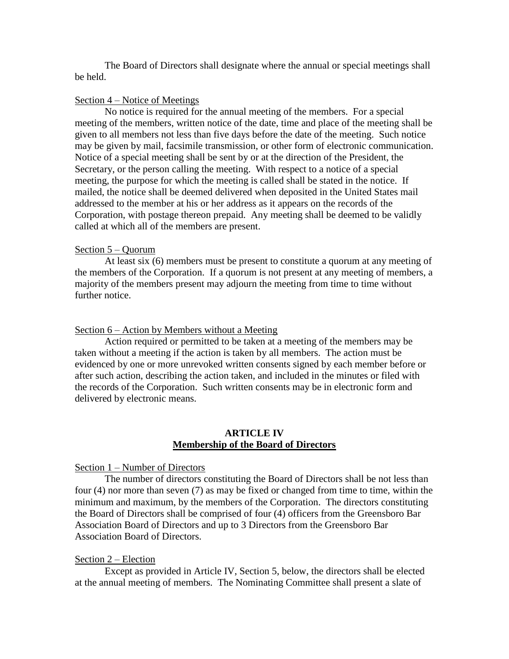The Board of Directors shall designate where the annual or special meetings shall be held.

### Section 4 – Notice of Meetings

No notice is required for the annual meeting of the members. For a special meeting of the members, written notice of the date, time and place of the meeting shall be given to all members not less than five days before the date of the meeting. Such notice may be given by mail, facsimile transmission, or other form of electronic communication. Notice of a special meeting shall be sent by or at the direction of the President, the Secretary, or the person calling the meeting. With respect to a notice of a special meeting, the purpose for which the meeting is called shall be stated in the notice. If mailed, the notice shall be deemed delivered when deposited in the United States mail addressed to the member at his or her address as it appears on the records of the Corporation, with postage thereon prepaid. Any meeting shall be deemed to be validly called at which all of the members are present.

#### Section 5 – Quorum

At least six (6) members must be present to constitute a quorum at any meeting of the members of the Corporation. If a quorum is not present at any meeting of members, a majority of the members present may adjourn the meeting from time to time without further notice.

### Section 6 – Action by Members without a Meeting

Action required or permitted to be taken at a meeting of the members may be taken without a meeting if the action is taken by all members. The action must be evidenced by one or more unrevoked written consents signed by each member before or after such action, describing the action taken, and included in the minutes or filed with the records of the Corporation. Such written consents may be in electronic form and delivered by electronic means.

#### **ARTICLE IV Membership of the Board of Directors**

#### Section 1 – Number of Directors

The number of directors constituting the Board of Directors shall be not less than four (4) nor more than seven (7) as may be fixed or changed from time to time, within the minimum and maximum, by the members of the Corporation. The directors constituting the Board of Directors shall be comprised of four (4) officers from the Greensboro Bar Association Board of Directors and up to 3 Directors from the Greensboro Bar Association Board of Directors.

### Section 2 – Election

Except as provided in Article IV, Section 5, below, the directors shall be elected at the annual meeting of members. The Nominating Committee shall present a slate of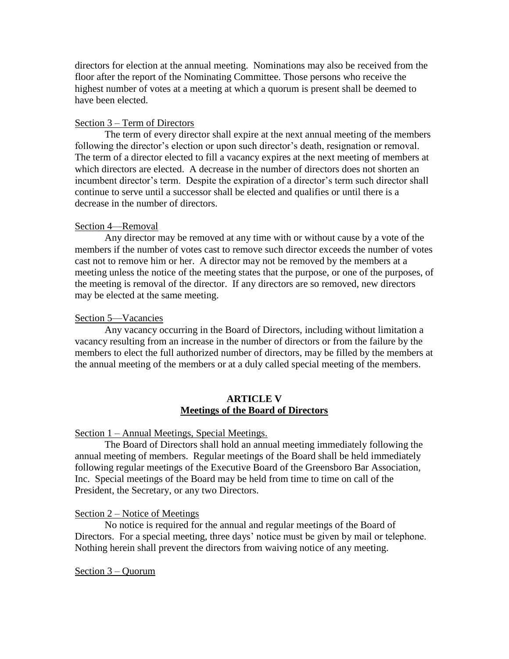directors for election at the annual meeting. Nominations may also be received from the floor after the report of the Nominating Committee. Those persons who receive the highest number of votes at a meeting at which a quorum is present shall be deemed to have been elected.

# Section 3 – Term of Directors

The term of every director shall expire at the next annual meeting of the members following the director's election or upon such director's death, resignation or removal. The term of a director elected to fill a vacancy expires at the next meeting of members at which directors are elected. A decrease in the number of directors does not shorten an incumbent director's term. Despite the expiration of a director's term such director shall continue to serve until a successor shall be elected and qualifies or until there is a decrease in the number of directors.

# Section 4—Removal

Any director may be removed at any time with or without cause by a vote of the members if the number of votes cast to remove such director exceeds the number of votes cast not to remove him or her. A director may not be removed by the members at a meeting unless the notice of the meeting states that the purpose, or one of the purposes, of the meeting is removal of the director. If any directors are so removed, new directors may be elected at the same meeting.

# Section 5—Vacancies

Any vacancy occurring in the Board of Directors, including without limitation a vacancy resulting from an increase in the number of directors or from the failure by the members to elect the full authorized number of directors, may be filled by the members at the annual meeting of the members or at a duly called special meeting of the members.

# **ARTICLE V Meetings of the Board of Directors**

# Section 1 – Annual Meetings, Special Meetings.

The Board of Directors shall hold an annual meeting immediately following the annual meeting of members. Regular meetings of the Board shall be held immediately following regular meetings of the Executive Board of the Greensboro Bar Association, Inc. Special meetings of the Board may be held from time to time on call of the President, the Secretary, or any two Directors.

# Section 2 – Notice of Meetings

No notice is required for the annual and regular meetings of the Board of Directors. For a special meeting, three days' notice must be given by mail or telephone. Nothing herein shall prevent the directors from waiving notice of any meeting.

# Section 3 – Quorum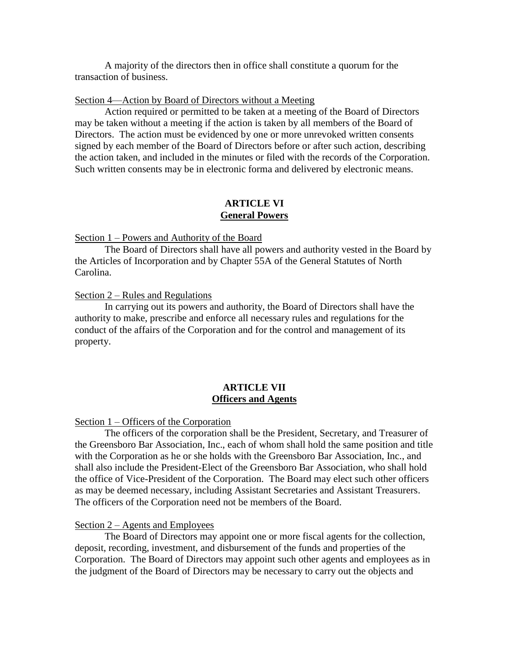A majority of the directors then in office shall constitute a quorum for the transaction of business.

#### Section 4—Action by Board of Directors without a Meeting

Action required or permitted to be taken at a meeting of the Board of Directors may be taken without a meeting if the action is taken by all members of the Board of Directors. The action must be evidenced by one or more unrevoked written consents signed by each member of the Board of Directors before or after such action, describing the action taken, and included in the minutes or filed with the records of the Corporation. Such written consents may be in electronic forma and delivered by electronic means.

## **ARTICLE VI General Powers**

#### Section 1 – Powers and Authority of the Board

The Board of Directors shall have all powers and authority vested in the Board by the Articles of Incorporation and by Chapter 55A of the General Statutes of North Carolina.

## Section 2 – Rules and Regulations

In carrying out its powers and authority, the Board of Directors shall have the authority to make, prescribe and enforce all necessary rules and regulations for the conduct of the affairs of the Corporation and for the control and management of its property.

## **ARTICLE VII Officers and Agents**

## Section 1 – Officers of the Corporation

The officers of the corporation shall be the President, Secretary, and Treasurer of the Greensboro Bar Association, Inc., each of whom shall hold the same position and title with the Corporation as he or she holds with the Greensboro Bar Association, Inc., and shall also include the President-Elect of the Greensboro Bar Association, who shall hold the office of Vice-President of the Corporation. The Board may elect such other officers as may be deemed necessary, including Assistant Secretaries and Assistant Treasurers. The officers of the Corporation need not be members of the Board.

#### Section 2 – Agents and Employees

The Board of Directors may appoint one or more fiscal agents for the collection, deposit, recording, investment, and disbursement of the funds and properties of the Corporation. The Board of Directors may appoint such other agents and employees as in the judgment of the Board of Directors may be necessary to carry out the objects and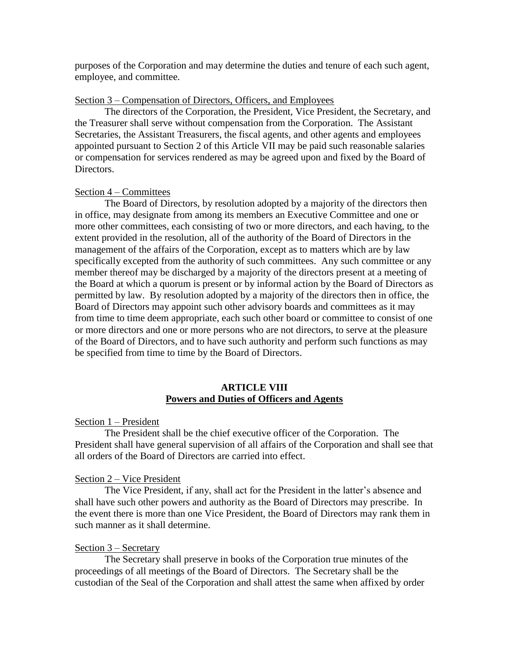purposes of the Corporation and may determine the duties and tenure of each such agent, employee, and committee.

## Section 3 – Compensation of Directors, Officers, and Employees

The directors of the Corporation, the President, Vice President, the Secretary, and the Treasurer shall serve without compensation from the Corporation. The Assistant Secretaries, the Assistant Treasurers, the fiscal agents, and other agents and employees appointed pursuant to Section 2 of this Article VII may be paid such reasonable salaries or compensation for services rendered as may be agreed upon and fixed by the Board of Directors.

### Section 4 – Committees

The Board of Directors, by resolution adopted by a majority of the directors then in office, may designate from among its members an Executive Committee and one or more other committees, each consisting of two or more directors, and each having, to the extent provided in the resolution, all of the authority of the Board of Directors in the management of the affairs of the Corporation, except as to matters which are by law specifically excepted from the authority of such committees. Any such committee or any member thereof may be discharged by a majority of the directors present at a meeting of the Board at which a quorum is present or by informal action by the Board of Directors as permitted by law. By resolution adopted by a majority of the directors then in office, the Board of Directors may appoint such other advisory boards and committees as it may from time to time deem appropriate, each such other board or committee to consist of one or more directors and one or more persons who are not directors, to serve at the pleasure of the Board of Directors, and to have such authority and perform such functions as may be specified from time to time by the Board of Directors.

## **ARTICLE VIII Powers and Duties of Officers and Agents**

#### Section 1 – President

The President shall be the chief executive officer of the Corporation. The President shall have general supervision of all affairs of the Corporation and shall see that all orders of the Board of Directors are carried into effect.

### Section 2 – Vice President

The Vice President, if any, shall act for the President in the latter's absence and shall have such other powers and authority as the Board of Directors may prescribe. In the event there is more than one Vice President, the Board of Directors may rank them in such manner as it shall determine.

#### Section 3 – Secretary

The Secretary shall preserve in books of the Corporation true minutes of the proceedings of all meetings of the Board of Directors. The Secretary shall be the custodian of the Seal of the Corporation and shall attest the same when affixed by order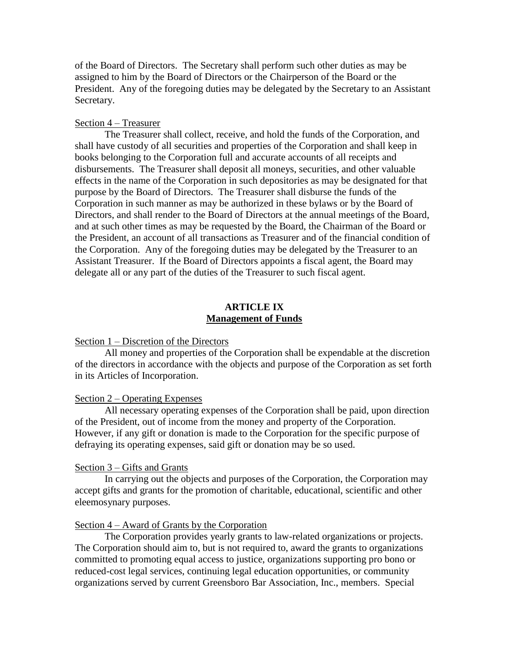of the Board of Directors. The Secretary shall perform such other duties as may be assigned to him by the Board of Directors or the Chairperson of the Board or the President. Any of the foregoing duties may be delegated by the Secretary to an Assistant Secretary.

## Section 4 – Treasurer

The Treasurer shall collect, receive, and hold the funds of the Corporation, and shall have custody of all securities and properties of the Corporation and shall keep in books belonging to the Corporation full and accurate accounts of all receipts and disbursements. The Treasurer shall deposit all moneys, securities, and other valuable effects in the name of the Corporation in such depositories as may be designated for that purpose by the Board of Directors. The Treasurer shall disburse the funds of the Corporation in such manner as may be authorized in these bylaws or by the Board of Directors, and shall render to the Board of Directors at the annual meetings of the Board, and at such other times as may be requested by the Board, the Chairman of the Board or the President, an account of all transactions as Treasurer and of the financial condition of the Corporation. Any of the foregoing duties may be delegated by the Treasurer to an Assistant Treasurer. If the Board of Directors appoints a fiscal agent, the Board may delegate all or any part of the duties of the Treasurer to such fiscal agent.

# **ARTICLE IX Management of Funds**

### Section 1 – Discretion of the Directors

All money and properties of the Corporation shall be expendable at the discretion of the directors in accordance with the objects and purpose of the Corporation as set forth in its Articles of Incorporation.

### Section 2 – Operating Expenses

All necessary operating expenses of the Corporation shall be paid, upon direction of the President, out of income from the money and property of the Corporation. However, if any gift or donation is made to the Corporation for the specific purpose of defraying its operating expenses, said gift or donation may be so used.

### Section 3 – Gifts and Grants

In carrying out the objects and purposes of the Corporation, the Corporation may accept gifts and grants for the promotion of charitable, educational, scientific and other eleemosynary purposes.

### Section 4 – Award of Grants by the Corporation

The Corporation provides yearly grants to law-related organizations or projects. The Corporation should aim to, but is not required to, award the grants to organizations committed to promoting equal access to justice, organizations supporting pro bono or reduced-cost legal services, continuing legal education opportunities, or community organizations served by current Greensboro Bar Association, Inc., members. Special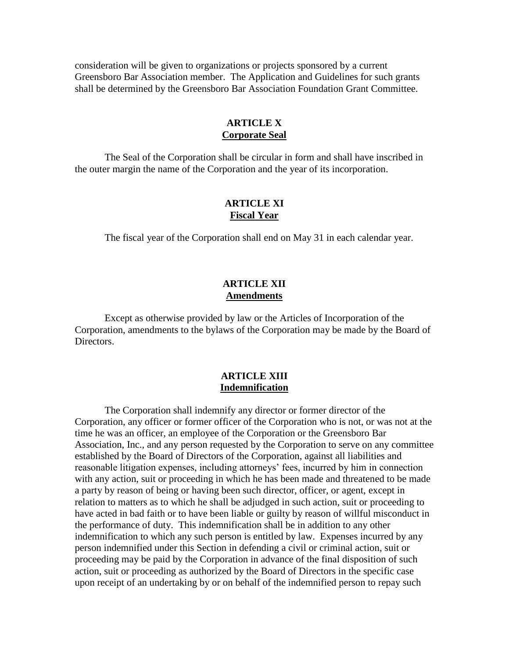consideration will be given to organizations or projects sponsored by a current Greensboro Bar Association member. The Application and Guidelines for such grants shall be determined by the Greensboro Bar Association Foundation Grant Committee.

## **ARTICLE X Corporate Seal**

The Seal of the Corporation shall be circular in form and shall have inscribed in the outer margin the name of the Corporation and the year of its incorporation.

## **ARTICLE XI Fiscal Year**

The fiscal year of the Corporation shall end on May 31 in each calendar year.

# **ARTICLE XII Amendments**

Except as otherwise provided by law or the Articles of Incorporation of the Corporation, amendments to the bylaws of the Corporation may be made by the Board of Directors.

# **ARTICLE XIII Indemnification**

The Corporation shall indemnify any director or former director of the Corporation, any officer or former officer of the Corporation who is not, or was not at the time he was an officer, an employee of the Corporation or the Greensboro Bar Association, Inc., and any person requested by the Corporation to serve on any committee established by the Board of Directors of the Corporation, against all liabilities and reasonable litigation expenses, including attorneys' fees, incurred by him in connection with any action, suit or proceeding in which he has been made and threatened to be made a party by reason of being or having been such director, officer, or agent, except in relation to matters as to which he shall be adjudged in such action, suit or proceeding to have acted in bad faith or to have been liable or guilty by reason of willful misconduct in the performance of duty. This indemnification shall be in addition to any other indemnification to which any such person is entitled by law. Expenses incurred by any person indemnified under this Section in defending a civil or criminal action, suit or proceeding may be paid by the Corporation in advance of the final disposition of such action, suit or proceeding as authorized by the Board of Directors in the specific case upon receipt of an undertaking by or on behalf of the indemnified person to repay such